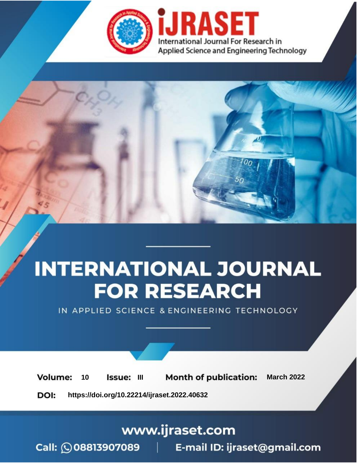

# **INTERNATIONAL JOURNAL FOR RESEARCH**

IN APPLIED SCIENCE & ENGINEERING TECHNOLOGY

**Month of publication: Volume:** 10 Issue: III **March 2022** DOI: https://doi.org/10.22214/ijraset.2022.40632

www.ijraset.com

Call: 008813907089 | E-mail ID: ijraset@gmail.com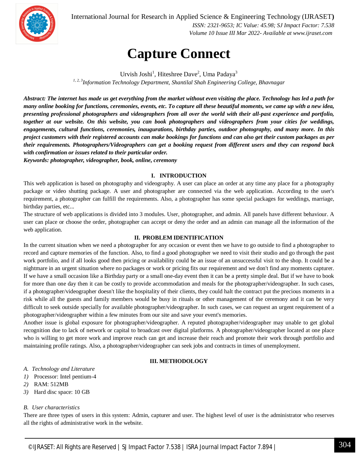

International Journal for Research in Applied Science & Engineering Technology (IJRASET**)**  *ISSN: 2321-9653; IC Value: 45.98; SJ Impact Factor: 7.538 Volume 10 Issue III Mar 2022- Available at www.ijraset.com*

# **Capture Connect**

Urvish Joshi<sup>1</sup>, Hiteshree Dave<sup>2</sup>, Uma Padaya<sup>3</sup> *1, 2, 3 Information Technology Department, Shantilal Shah Engineering College, Bhavnagar*

*Abstract: The internet has made us get everything from the market without even visiting the place. Technology has led a path for many online booking for functions, ceremonies, events, etc. To capture all these beautiful moments, we came up with a new idea, presenting professional photographers and videographers from all over the world with their all-past experience and portfolio, together at our website. On this website, you can book photographers and videographers from your cities for weddings, engagements, cultural functions, ceremonies, inaugurations, birthday parties, outdoor photography, and many more. In this project customers with their registered accounts can make bookings for functions and can also get their custom packages as per their requirements. Photographers/Videographers can get a booking request from different users and they can respond back with confirmation or issues related to their particular order.*

*Keywords: photographer, videographer, book, online, ceremony*

# **I. INTRODUCTION**

This web application is based on photography and videography. A user can place an order at any time any place for a photography package or video shutting package. A user and photographer are connected via the web application. According to the user's requirement, a photographer can fulfill the requirements. Also, a photographer has some special packages for weddings, marriage, birthday parties, etc...

The structure of web applications is divided into 3 modules. User, photographer, and admin. All panels have different behaviour. A user can place or choose the order, photographer can accept or deny the order and an admin can manage all the information of the web application.

# **II. PROBLEM IDENTIFICATION**

In the current situation when we need a photographer for any occasion or event then we have to go outside to find a photographer to record and capture memories of the function. Also, to find a good photographer we need to visit their studio and go through the past work portfolio, and if all looks good then pricing or availability could be an issue of an unsuccessful visit to the shop. It could be a nightmare in an urgent situation where no packages or work or pricing fits our requirement and we don't find any moments capturer. If we have a small occasion like a Birthday party or a small one-day event then it can be a pretty simple deal. But if we have to book for more than one day then it can be costly to provide accommodation and meals for the photographer/videographer. In such cases, if a photographer/videographer doesn't like the hospitality of their clients, they could halt the contract put the precious moments in a risk while all the guests and family members would be busy in rituals or other management of the ceremony and it can be very difficult to seek outside specially for available photographer/videographer. In such cases, we can request an urgent requirement of a photographer/videographer within a few minutes from our site and save your event's memories.

Another issue is global exposure for photographer/videographer. A reputed photographer/videographer may unable to get global recognition due to lack of network or capital to broadcast over digital platforms. A photographer/videographer located at one place who is willing to get more work and improve reach can get and increase their reach and promote their work through portfolio and maintaining profile ratings. Also, a photographer/videographer can seek jobs and contracts in times of unemployment.

# **III. METHODOLOGY**

- *A. Technology and Literature*
- *1)* Processor: Intel pentium-4
- *2)* RAM: 512MB
- *3)* Hard disc space: 10 GB

# *B. User characteristics*

There are three types of users in this system: Admin, capturer and user. The highest level of user is the administrator who reserves all the rights of administrative work in the website.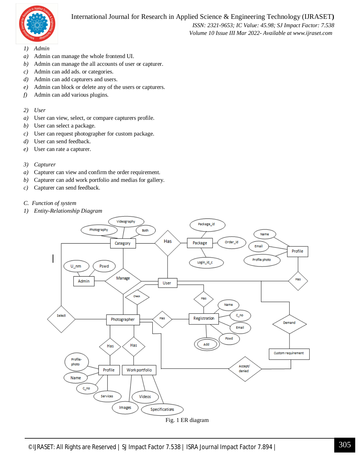

# International Journal for Research in Applied Science & Engineering Technology (IJRASET**)**

 *ISSN: 2321-9653; IC Value: 45.98; SJ Impact Factor: 7.538 Volume 10 Issue III Mar 2022- Available at www.ijraset.com*

- *1) Admin*
- *a)* Admin can manage the whole frontend UI.
- *b)* Admin can manage the all accounts of user or capturer.
- *c)* Admin can add ads. or categories.
- *d)* Admin can add capturers and users.
- *e)* Admin can block or delete any of the users or capturers.
- *f)* Admin can add various plugins.
- *2) User*
- *a)* User can view, select, or compare capturers profile.
- *b)* User can select a package.
- *c)* User can request photographer for custom package.
- *d)* User can send feedback.
- *e)* User can rate a capturer.
- *3) Capturer*
- *a)* Capturer can view and confirm the order requirement.
- *b)* Capturer can add work portfolio and medias for gallery.
- *c)* Capturer can send feedback.
- *C. Function of system*
- *1) Entity-Relationship Diagram*

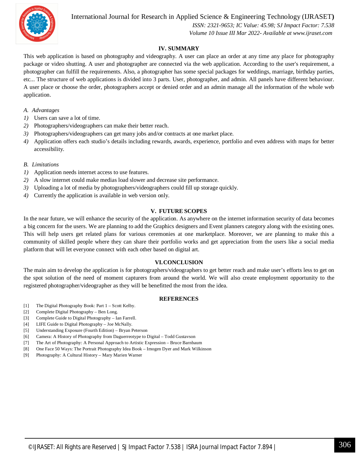

International Journal for Research in Applied Science & Engineering Technology (IJRASET**)**

 *ISSN: 2321-9653; IC Value: 45.98; SJ Impact Factor: 7.538 Volume 10 Issue III Mar 2022- Available at www.ijraset.com*

# **IV. SUMMARY**

This web application is based on photography and videography. A user can place an order at any time any place for photography package or video shutting. A user and photographer are connected via the web application. According to the user's requirement, a photographer can fulfill the requirements. Also, a photographer has some special packages for weddings, marriage, birthday parties, etc... The structure of web applications is divided into 3 parts. User, photographer, and admin. All panels have different behaviour. A user place or choose the order, photographers accept or denied order and an admin manage all the information of the whole web application.

- *A. Advantages*
- *1)* Users can save a lot of time.
- *2)* Photographers/videographers can make their better reach.
- *3)* Photographers/videographers can get many jobs and/or contracts at one market place.
- *4)* Application offers each studio's details including rewards, awards, experience, portfolio and even address with maps for better accessibility.
- *B. Limitations*
- *1)* Application needs internet access to use features.
- *2)* A slow internet could make medias load slower and decrease site performance.
- *3)* Uploading a lot of media by photographers/videographers could fill up storage quickly.
- *4)* Currently the application is available in web version only.

# **V. FUTURE SCOPES**

In the near future, we will enhance the security of the application. As anywhere on the internet information security of data becomes a big concern for the users. We are planning to add the Graphics designers and Event planners category along with the existing ones. This will help users get related plans for various ceremonies at one marketplace. Moreover, we are planning to make this a community of skilled people where they can share their portfolio works and get appreciation from the users like a social media platform that will let everyone connect with each other based on digital art.

# **VI.CONCLUSION**

The main aim to develop the application is for photographers/videographers to get better reach and make user's efforts less to get on the spot solution of the need of moment capturers from around the world. We will also create employment opportunity to the registered photographer/videographer as they will be benefitted the most from the idea.

# **REFERENCES**

- [1] The Digital Photography Book: Part 1 Scott Kelby.
- [2] Complete Digital Photography Ben Long.
- [3] Complete Guide to Digital Photography Ian Farrell.
- [4] LIFE Guide to Digital Photography Joe McNally.
- [5] Understanding Exposure (Fourth Edition) Bryan Peterson
- [6] Camera: A History of Photography from Daguerreotype to Digital Todd Gustavson
- [7] The Art of Photography: A Personal Approach to Artistic Expression Bruce Barnbaum
- [8] One Face 50 Ways: The Portrait Photography Idea Book Imogen Dyer and Mark Wilkinson
- [9] Photography: A Cultural History Mary Marien Warner